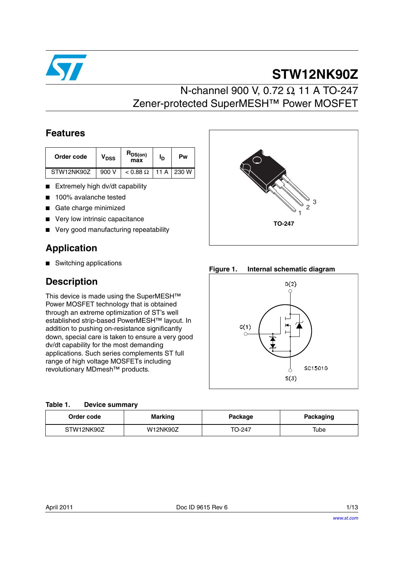

# **STW12NK90Z**

# N-channel 900 V, 0.72 Ω, 11 A TO-247 Zener-protected SuperMESH™ Power MOSFET

### **Features**

| Order code | <b>V<sub>DSS</sub></b> | $R_{DS(on)}$<br>max | חי | Pw          |
|------------|------------------------|---------------------|----|-------------|
| STW12NK90Z | 900 V                  | $< 0.88$ $\Omega$   |    | $11A$ 230 W |

- Extremely high dv/dt capability
- 100% avalanche tested
- Gate charge minimized
- Very low intrinsic capacitance
- Very good manufacturing repeatability

### **Application**

■ Switching applications

### **Description**

This device is made using the SuperMESH™ Power MOSFET technology that is obtained through an extreme optimization of ST's well established strip-based PowerMESH™ layout. In addition to pushing on-resistance significantly down, special care is taken to ensure a very good dv/dt capability for the most demanding applications. Such series complements ST full range of high voltage MOSFETs including revolutionary MDmesh™ products.

| Table 1. | <b>Device summary</b> |  |
|----------|-----------------------|--|
|          |                       |  |

| Order code | <b>Marking</b>  | Package | <b>Packaging</b> |
|------------|-----------------|---------|------------------|
| STW12NK90Z | <b>W12NK90Z</b> | TO-247  | Tube             |



**Figure 1. Internal schematic diagram**

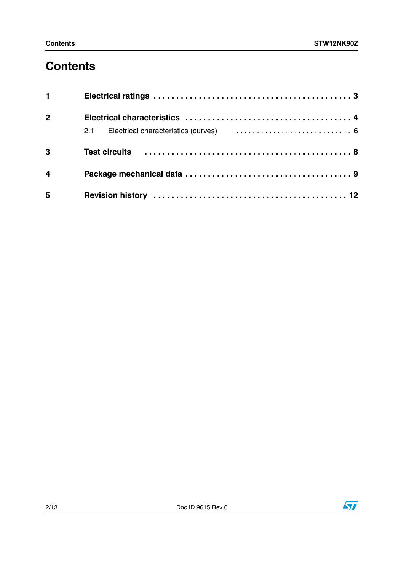# **Contents**

| $1 \quad \Box$          |  |
|-------------------------|--|
| 2 <sup>1</sup>          |  |
|                         |  |
| $\overline{3}$          |  |
| $\overline{\mathbf{4}}$ |  |
| $5\phantom{1}$          |  |

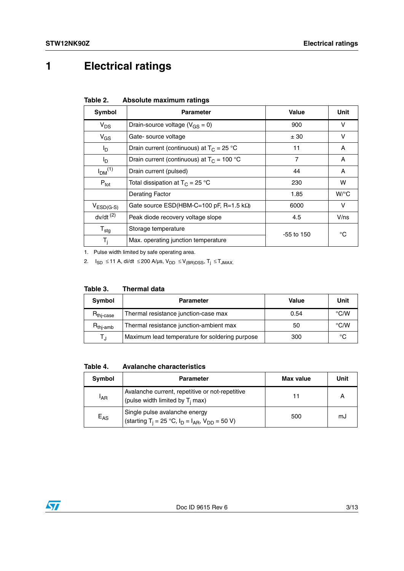# <span id="page-2-0"></span>**1 Electrical ratings**

<span id="page-2-1"></span>

| Table 2. |  | Absolute maximum ratings |  |
|----------|--|--------------------------|--|
|----------|--|--------------------------|--|

| Symbol                         | <b>Parameter</b>                                | Value        | Unit    |
|--------------------------------|-------------------------------------------------|--------------|---------|
| $V_{DS}$                       | Drain-source voltage ( $V_{GS} = 0$ )           | 900          | v       |
| $V_{GS}$                       | Gate-source voltage                             | ± 30         | v       |
| I <sub>D</sub>                 | Drain current (continuous) at $T_c = 25 °C$     | 11           | A       |
| I <sub>D</sub>                 | Drain current (continuous) at $T_C = 100 °C$    | 7            | A       |
| I <sub>DM</sub> <sup>(1)</sup> | Drain current (pulsed)                          | 44           | A       |
| $P_{\text{tot}}$               | Total dissipation at $T_C = 25 °C$              | 230          | w       |
|                                | Derating Factor                                 | 1.85         | $W$ /°C |
| $V_{ESD(G-S)}$                 | Gate source ESD(HBM-C=100 pF, R=1.5 $k\Omega$ ) | 6000         | v       |
| $dv/dt$ <sup>(2)</sup>         | Peak diode recovery voltage slope               | 4.5          | V/ns    |
| $T_{\text{stg}}$               | Storage temperature                             | $-55$ to 150 | °C      |
| T <sub>i</sub>                 | Max. operating junction temperature             |              |         |

1. Pulse width limited by safe operating area.

2.  $I_{SD}$  ≤ 11 A, di/dt ≤ 200 A/µs,  $V_{DD}$  ≤  $V_{(BR)DSS}$ ,  $T_j$  ≤  $T_{JMAX}$ .

| Symbol                          | <b>Parameter</b>                               | <b>Value</b> | Unit               |
|---------------------------------|------------------------------------------------|--------------|--------------------|
| $R_{\text{thi-case}}$           | Thermal resistance junction-case max           | 0.54         | $\rm ^{\circ}$ C/W |
| $\mathsf{R}_{\mathsf{thj-amb}}$ | Thermal resistance junction-ambient max        | 50           | $\rm ^{\circ}$ C/W |
| Tт                              | Maximum lead temperature for soldering purpose | 300          | °C                 |

**Table 4. Avalanche characteristics**

| Symbol          | <b>Parameter</b>                                                                                     | Max value | Unit |
|-----------------|------------------------------------------------------------------------------------------------------|-----------|------|
| <sup>I</sup> AR | Avalanche current, repetitive or not-repetitive<br>(pulse width limited by $T_i$ max)                |           |      |
| $E_{AS}$        | Single pulse avalanche energy<br>(starting T <sub>i</sub> = 25 °C, $I_D = I_{AR}$ , $V_{DD} = 50$ V) | 500       | mJ   |

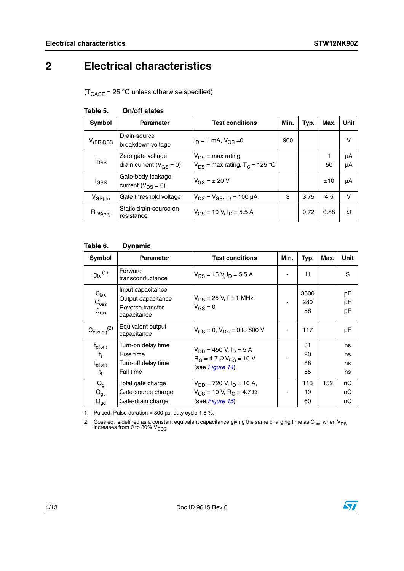# <span id="page-3-0"></span>**2 Electrical characteristics**

 $(T_{\text{CASE}} = 25 \text{ °C}$  unless otherwise specified)

| <b>Symbol</b>           | <b>Parameter</b>                                    | <b>Test conditions</b>                                                  | Min. | Typ. | Max. | Unit     |
|-------------------------|-----------------------------------------------------|-------------------------------------------------------------------------|------|------|------|----------|
| $V_{(BR)DSS}$           | Drain-source<br>breakdown voltage                   | $I_D = 1$ mA, $V_{GS} = 0$                                              | 900  |      |      | v        |
| <b>I</b> <sub>DSS</sub> | Zero gate voltage<br>drain current ( $V_{GS} = 0$ ) | $V_{DS}$ = max rating<br>$V_{DS}$ = max rating, T <sub>C</sub> = 125 °C |      |      | 50   | μA<br>μA |
| l <sub>GSS</sub>        | Gate-body leakage<br>current ( $V_{DS} = 0$ )       | $V_{GS} = \pm 20 V$                                                     |      |      | ±10  | μA       |
| $V_{GS(th)}$            | Gate threshold voltage                              | $V_{DS} = V_{GS}$ , $I_D = 100 \mu A$                                   | 3    | 3.75 | 4.5  | v        |
| $R_{DS(on)}$            | Static drain-source on<br>resistance                | $V_{GS}$ = 10 V, $I_D$ = 5.5 A                                          |      | 0.72 | 0.88 | Ω        |

#### **Table 5. On/off states**

#### **Table 6. Dynamic**

| Symbol                                                       | <b>Parameter</b>                                                           | <b>Test conditions</b>                                                                               | Min.           | Typ.                 | Max. | Unit                 |
|--------------------------------------------------------------|----------------------------------------------------------------------------|------------------------------------------------------------------------------------------------------|----------------|----------------------|------|----------------------|
| $g_{\text{fs}}^{(1)}$                                        | Forward<br>transconductance                                                | $V_{DS}$ = 15 V I <sub>D</sub> = 5.5 A                                                               |                | 11                   |      | S                    |
| $C_{\text{iss}}$<br>$C_{\text{oss}}$<br>$C_{\text{rss}}$     | Input capacitance<br>Output capacitance<br>Reverse transfer<br>capacitance | $V_{DS}$ = 25 V, f = 1 MHz,<br>$V_{GS} = 0$                                                          | $\blacksquare$ | 3500<br>280<br>58    |      | pF<br>pF<br>pF       |
| $C_{\rm oss\ eq}^{(2)}$                                      | Equivalent output<br>capacitance                                           | $V_{GS} = 0$ , $V_{DS} = 0$ to 800 V                                                                 | ٠              | 117                  |      | pF                   |
| $t_{d(on)}$<br>$t_{r}$<br>$t_{d(\text{off})}$<br>$t_{\rm f}$ | Turn-on delay time<br>Rise time<br>Turn-off delay time<br>Fall time        | $V_{DD}$ = 450 V, $I_D$ = 5 A<br>$R_G = 4.7 \Omega V_{GS} = 10 V$<br>(see Figure 14)                 |                | 31<br>20<br>88<br>55 |      | ns<br>ns<br>ns<br>ns |
| $Q_{q}$<br>$Q_{gs}$<br>$Q_{\text{gd}}$                       | Total gate charge<br>Gate-source charge<br>Gate-drain charge               | $V_{DD}$ = 720 V, $I_D$ = 10 A,<br>$V_{GS}$ = 10 V, R <sub>G</sub> = 4.7 $\Omega$<br>(see Figure 15) |                | 113<br>19<br>60      | 152  | пC<br>nC<br>nС       |

1. Pulsed: Pulse duration =  $300 \,\mu s$ , duty cycle 1.5 %.

2.  $\,$  Coss eq. is defined as a constant equivalent capacitance giving the same charging time as  $C_{\rm oss}$  when V $_{\rm DS}$  increases from 0 to 80% V $_{\rm DSS}$ .

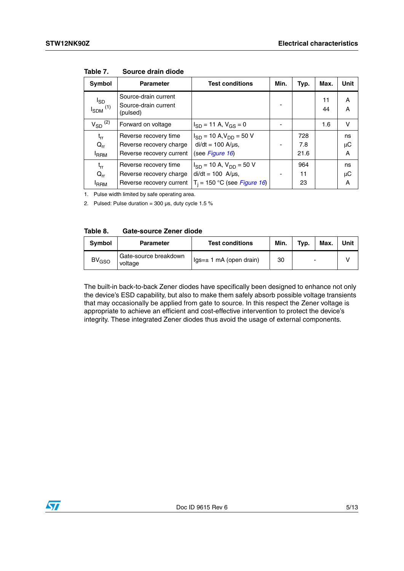| <b>Symbol</b>                        | <b>Parameter</b>                                         | <b>Test conditions</b>           | Min. | Typ. | Max.     | Unit    |
|--------------------------------------|----------------------------------------------------------|----------------------------------|------|------|----------|---------|
| $I_{SD}$<br>$I_{SDM}$ <sup>(1)</sup> | Source-drain current<br>Source-drain current<br>(pulsed) |                                  |      |      | 11<br>44 | A<br>A  |
| $V_{SD}$ <sup>(2)</sup>              | Forward on voltage                                       | $I_{SD} = 11 A$ , $V_{GS} = 0$   |      |      | 1.6      | $\vee$  |
| $t_{rr}$                             | Reverse recovery time                                    | $I_{SD}$ = 10 A, $V_{DD}$ = 50 V |      | 728  |          | ns      |
| $Q_{rr}$                             | Reverse recovery charge                                  | $di/dt = 100$ A/ $\mu$ s,        |      | 7.8  |          | μC      |
| <b>I</b> RRM                         | Reverse recovery current                                 | (see Figure 16)                  |      | 21.6 |          | A       |
| $t_{rr}$                             | Reverse recovery time                                    | $I_{SD}$ = 10 A, $V_{DD}$ = 50 V |      | 964  |          | ns      |
| $Q_{rr}$                             | Reverse recovery charge                                  | $di/dt = 100$ A/ $\mu$ s,        |      | 11   |          | $\mu$ C |
| <sup>I</sup> RRM                     | Reverse recovery current                                 | $T_i = 150 °C$ (see Figure 16)   |      | 23   |          | A       |

**Table 7. Source drain diode**

1. Pulse width limited by safe operating area.

2. Pulsed: Pulse duration =  $300 \,\mu s$ , duty cycle 1.5 %

| Table 8. | Gate-source Zener diode |  |  |
|----------|-------------------------|--|--|
|----------|-------------------------|--|--|

| Symbol     | <b>Parameter</b>                 | <b>Test conditions</b>          | Min. | Typ. | Max. | Unit |
|------------|----------------------------------|---------------------------------|------|------|------|------|
| $BV_{GSO}$ | Gate-source breakdown<br>voltage | $\lg s = \pm 1$ mA (open drain) | 30   |      |      |      |

The built-in back-to-back Zener diodes have specifically been designed to enhance not only the device's ESD capability, but also to make them safely absorb possible voltage transients that may occasionally be applied from gate to source. In this respect the Zener voltage is appropriate to achieve an efficient and cost-effective intervention to protect the device's integrity. These integrated Zener diodes thus avoid the usage of external components.

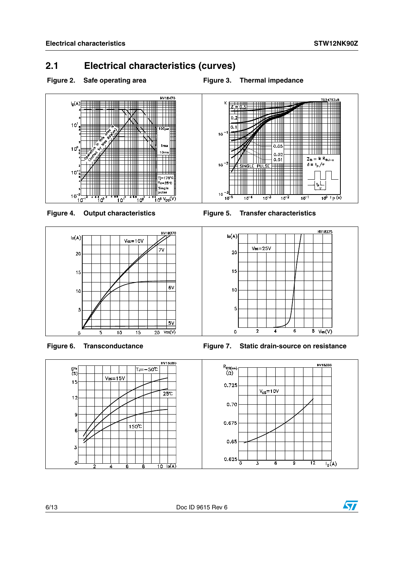$Z_{th} = k R_{thJ}$ 

 $\frac{10^{0} + p(s)}{10^{0} + p(s)}$ 

 $\delta = \frac{1}{2} \int_T$ 

 $10^{-7}$ 

### <span id="page-5-0"></span>**2.1 Electrical characteristics (curves)**

#### Figure 2. Safe operating area **Figure 3. Thermal impedance**







 $0<sub>1</sub>$ 

 $0.05$ 

 $0.02$ 

 $0.01$ 

 $\overline{10}$ 

 $\overline{10}$ 

 $10$ 

 $10$ 

 $10$ 

 $10$ 





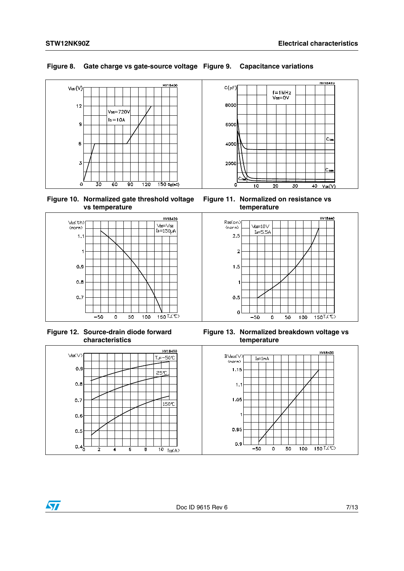### **Figure 8. Gate charge vs gate-source voltage Figure 9. Capacitance variations**



**Figure 10. Normalized gate threshold voltage vs temperature**



**Figure 12. Source-drain diode forward characteristics**



**Figure 11. Normalized on resistance vs temperature**



**Figure 13. Normalized breakdown voltage vs temperature**



 $\sqrt{2}$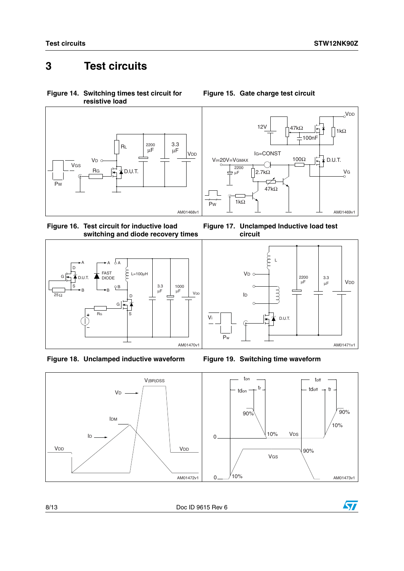## <span id="page-7-0"></span>**3 Test circuits**

<span id="page-7-1"></span>**Figure 14. Switching times test circuit for resistive load**



<span id="page-7-3"></span>**Figure 16. Test circuit for inductive load switching and diode recovery times**







<span id="page-7-2"></span>**Figure 15. Gate charge test circuit**

**Figure 17. Unclamped Inductive load test circuit**





8/13 Doc ID 9615 Rev 6

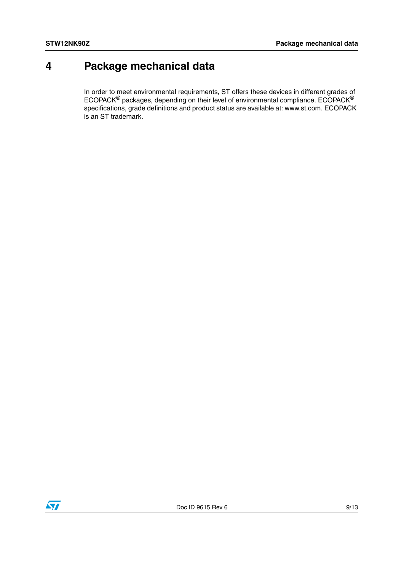# <span id="page-8-0"></span>**4 Package mechanical data**

In order to meet environmental requirements, ST offers these devices in different grades of ECOPACK® packages, depending on their level of environmental compliance. ECOPACK® specifications, grade definitions and product status are available at: www.st.com. ECOPACK is an ST trademark.

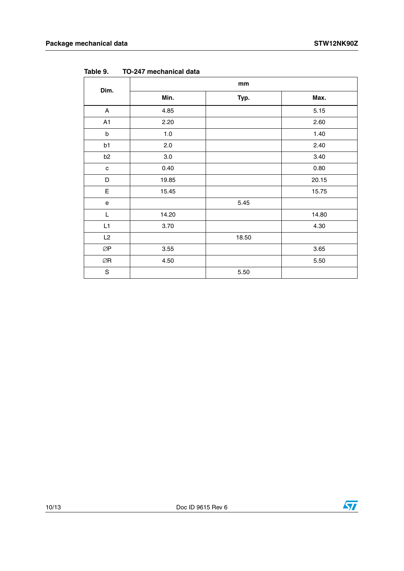| Dim.                                       | mm      |       |       |  |  |
|--------------------------------------------|---------|-------|-------|--|--|
|                                            | Min.    | Typ.  | Max.  |  |  |
| A                                          | 4.85    |       | 5.15  |  |  |
| A1                                         | 2.20    |       | 2.60  |  |  |
| $\sf b$                                    | 1.0     |       | 1.40  |  |  |
| b1                                         | 2.0     |       | 2.40  |  |  |
| b <sub>2</sub>                             | $3.0\,$ |       | 3.40  |  |  |
| $\mathbf c$                                | 0.40    |       | 0.80  |  |  |
| D                                          | 19.85   |       | 20.15 |  |  |
| $\mathsf E$                                | 15.45   |       | 15.75 |  |  |
| $\mathsf{e}% _{0}\left( \mathsf{e}\right)$ |         | 5.45  |       |  |  |
| L                                          | 14.20   |       | 14.80 |  |  |
| L1                                         | 3.70    |       | 4.30  |  |  |
| L2                                         |         | 18.50 |       |  |  |
| $\oslash\!\operatorname{\mathsf{P}}$       | 3.55    |       | 3.65  |  |  |
| $\oslash$ R                                | 4.50    |       | 5.50  |  |  |
| ${\mathsf S}$                              |         | 5.50  |       |  |  |

**Table 9. TO-247 mechanical data**



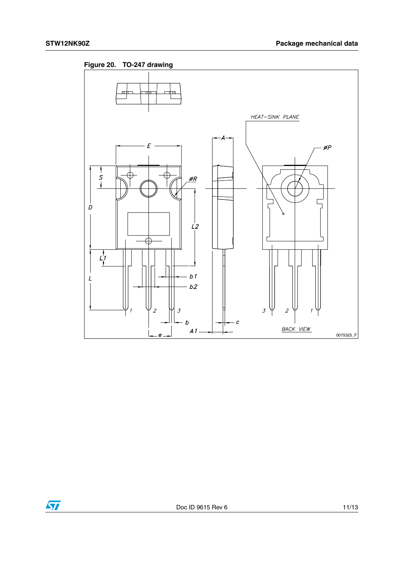

**Figure 20. TO-247 drawing**

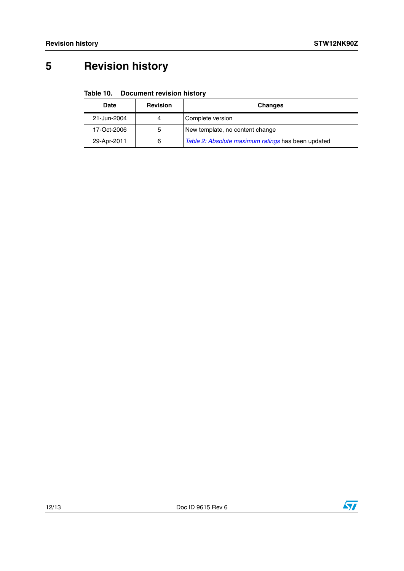# <span id="page-11-0"></span>**5 Revision history**

#### Table 10. **Document revision history**

| Date        | <b>Revision</b> | <b>Changes</b>                                     |
|-------------|-----------------|----------------------------------------------------|
| 21-Jun-2004 | 4               | Complete version                                   |
| 17-Oct-2006 | 5               | New template, no content change                    |
| 29-Apr-2011 | 6               | Table 2: Absolute maximum ratings has been updated |